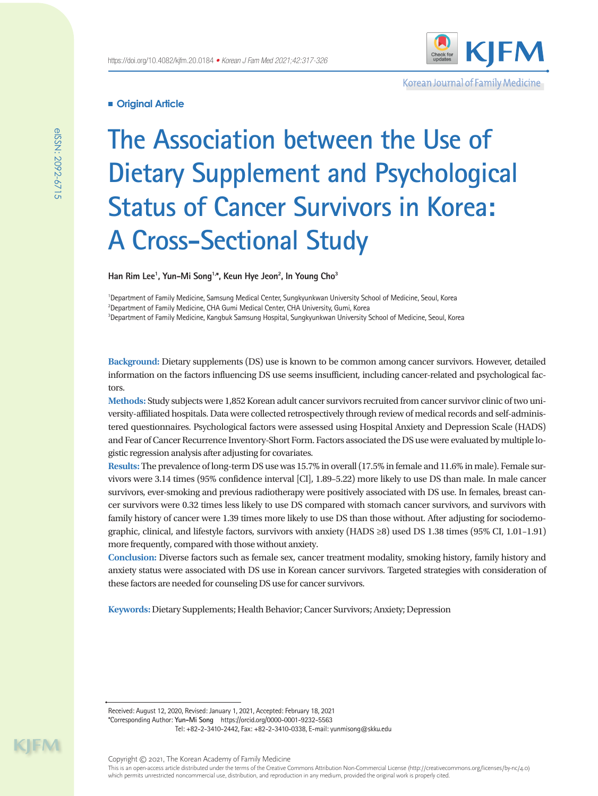

Korean Journal of Family Medicine

## **Original Article**

# **The Association between the Use of Dietary Supplement and Psychological Status of Cancer Survivors in Korea: A Cross-Sectional Study**

**Han Rim Lee1 , Yun-Mi Song1,\*, Keun Hye Jeon2 , In Young Cho3**

1 Department of Family Medicine, Samsung Medical Center, Sungkyunkwan University School of Medicine, Seoul, Korea  $^2$ Department of Family Medicine, CHA Gumi Medical Center, CHA University, Gumi, Korea 3 Department of Family Medicine, Kangbuk Samsung Hospital, Sungkyunkwan University School of Medicine, Seoul, Korea

**Background:** Dietary supplements (DS) use is known to be common among cancer survivors. However, detailed information on the factors influencing DS use seems insufficient, including cancer-related and psychological factors.

**Methods:** Study subjects were 1,852 Korean adult cancer survivors recruited from cancer survivor clinic of two university-affiliated hospitals. Data were collected retrospectively through review of medical records and self-administered questionnaires. Psychological factors were assessed using Hospital Anxiety and Depression Scale (HADS) and Fear of Cancer Recurrence Inventory-Short Form. Factors associated the DS use were evaluated by multiple logistic regression analysis after adjusting for covariates.

**Results:** The prevalence of long-term DS use was 15.7% in overall (17.5% in female and 11.6% in male). Female survivors were 3.14 times (95% confidence interval [CI], 1.89–5.22) more likely to use DS than male. In male cancer survivors, ever-smoking and previous radiotherapy were positively associated with DS use. In females, breast cancer survivors were 0.32 times less likely to use DS compared with stomach cancer survivors, and survivors with family history of cancer were 1.39 times more likely to use DS than those without. After adjusting for sociodemographic, clinical, and lifestyle factors, survivors with anxiety (HADS ≥8) used DS 1.38 times (95% CI, 1.01–1.91) more frequently, compared with those without anxiety.

**Conclusion:** Diverse factors such as female sex, cancer treatment modality, smoking history, family history and anxiety status were associated with DS use in Korean cancer survivors. Targeted strategies with consideration of these factors are needed for counseling DS use for cancer survivors.

**Keywords:** Dietary Supplements; Health Behavior; Cancer Survivors; Anxiety; Depression

Received: August 12, 2020, Revised: January 1, 2021, Accepted: February 18, 2021 \*Corresponding Author: **Yun-Mi Song** https://orcid.org/0000-0001-9232-5563

Tel: +82-2-3410-2442, Fax: +82-2-3410-0338, E-mail: yunmisong@skku.edu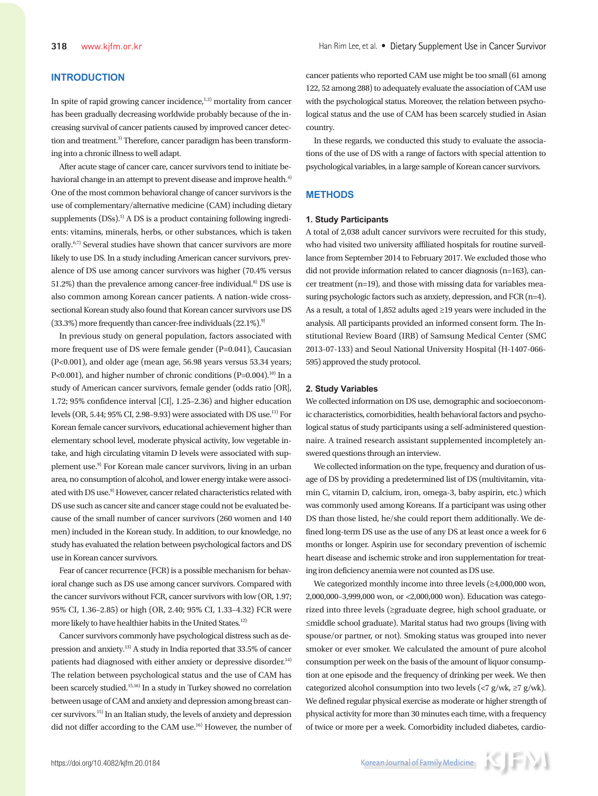# **INTRODUCTION**

In spite of rapid growing cancer incidence, $1,2)$  mortality from cancer has been gradually decreasing worldwide probably because of the increasing survival of cancer patients caused by improved cancer detection and treatment.<sup>3)</sup> Therefore, cancer paradigm has been transforming into a chronic illness to well adapt.

After acute stage of cancer care, cancer survivors tend to initiate behavioral change in an attempt to prevent disease and improve health.<sup>4)</sup> One of the most common behavioral change of cancer survivors is the use of complementary/alternative medicine (CAM) including dietary supplements (DSs).<sup>5)</sup> A DS is a product containing following ingredients: vitamins, minerals, herbs, or other substances, which is taken orally.6,7) Several studies have shown that cancer survivors are more likely to use DS. In a study including American cancer survivors, prevalence of DS use among cancer survivors was higher (70.4% versus 51.2%) than the prevalence among cancer-free individual.<sup>8)</sup> DS use is also common among Korean cancer patients. A nation-wide crosssectional Korean study also found that Korean cancer survivors use DS  $(33.3\%)$  more frequently than cancer-free individuals  $(22.1\%)$ .<sup>9)</sup>

In previous study on general population, factors associated with more frequent use of DS were female gender (P=0.041), Caucasian (P<0.001), and older age (mean age, 56.98 years versus 53.34 years; P<0.001), and higher number of chronic conditions (P=0.004).<sup>10)</sup> In a study of American cancer survivors, female gender (odds ratio [OR], 1.72; 95% confidence interval [CI], 1.25–2.36) and higher education levels (OR, 5.44; 95% CI, 2.98–9.93) were associated with DS use.<sup>11)</sup> For Korean female cancer survivors, educational achievement higher than elementary school level, moderate physical activity, low vegetable intake, and high circulating vitamin D levels were associated with supplement use.<sup>9)</sup> For Korean male cancer survivors, living in an urban area, no consumption of alcohol, and lower energy intake were associated with DS use.<sup>9)</sup> However, cancer related characteristics related with DS use such as cancer site and cancer stage could not be evaluated because of the small number of cancer survivors (260 women and 140 men) included in the Korean study. In addition, to our knowledge, no study has evaluated the relation between psychological factors and DS use in Korean cancer survivors.

Fear of cancer recurrence (FCR) is a possible mechanism for behavioral change such as DS use among cancer survivors. Compared with the cancer survivors without FCR, cancer survivors with low (OR, 1.97; 95% CI, 1.36–2.85) or high (OR, 2.40; 95% CI, 1.33–4.32) FCR were more likely to have healthier habits in the United States.<sup>12)</sup>

Cancer survivors commonly have psychological distress such as depression and anxiety.13) A study in India reported that 33.5% of cancer patients had diagnosed with either anxiety or depressive disorder.<sup>14)</sup> The relation between psychological status and the use of CAM has been scarcely studied.15,16) In a study in Turkey showed no correlation between usage of CAM and anxiety and depression among breast cancer survivors.15) In an Italian study, the levels of anxiety and depression did not differ according to the CAM use.<sup>16)</sup> However, the number of

cancer patients who reported CAM use might be too small (61 among 122, 52 among 288) to adequately evaluate the association of CAM use with the psychological status. Moreover, the relation between psychological status and the use of CAM has been scarcely studied in Asian country.

In these regards, we conducted this study to evaluate the associations of the use of DS with a range of factors with special attention to psychological variables, in a large sample of Korean cancer survivors.

#### **METHODS**

#### **1. Study Participants**

A total of 2,038 adult cancer survivors were recruited for this study, who had visited two university affiliated hospitals for routine surveillance from September 2014 to February 2017. We excluded those who did not provide information related to cancer diagnosis (n=163), cancer treatment (n=19), and those with missing data for variables measuring psychologic factors such as anxiety, depression, and FCR (n=4). As a result, a total of 1,852 adults aged ≥19 years were included in the analysis. All participants provided an informed consent form. The Institutional Review Board (IRB) of Samsung Medical Center (SMC 2013-07-133) and Seoul National University Hospital (H-1407-066- 595) approved the study protocol.

#### **2. Study Variables**

We collected information on DS use, demographic and socioeconomic characteristics, comorbidities, health behavioral factors and psychological status of study participants using a self-administered questionnaire. A trained research assistant supplemented incompletely answered questions through an interview.

We collected information on the type, frequency and duration of usage of DS by providing a predetermined list of DS (multivitamin, vitamin C, vitamin D, calcium, iron, omega-3, baby aspirin, etc.) which was commonly used among Koreans. If a participant was using other DS than those listed, he/she could report them additionally. We defined long-term DS use as the use of any DS at least once a week for 6 months or longer. Aspirin use for secondary prevention of ischemic heart disease and ischemic stroke and iron supplementation for treating iron deficiency anemia were not counted as DS use.

We categorized monthly income into three levels (≥4,000,000 won, 2,000,000–3,999,000 won, or <2,000,000 won). Education was categorized into three levels (≥graduate degree, high school graduate, or ≤middle school graduate). Marital status had two groups (living with spouse/or partner, or not). Smoking status was grouped into never smoker or ever smoker. We calculated the amount of pure alcohol consumption per week on the basis of the amount of liquor consumption at one episode and the frequency of drinking per week. We then categorized alcohol consumption into two levels (<7 g/wk, ≥7 g/wk). We defined regular physical exercise as moderate or higher strength of physical activity for more than 30 minutes each time, with a frequency of twice or more per a week. Comorbidity included diabetes, cardio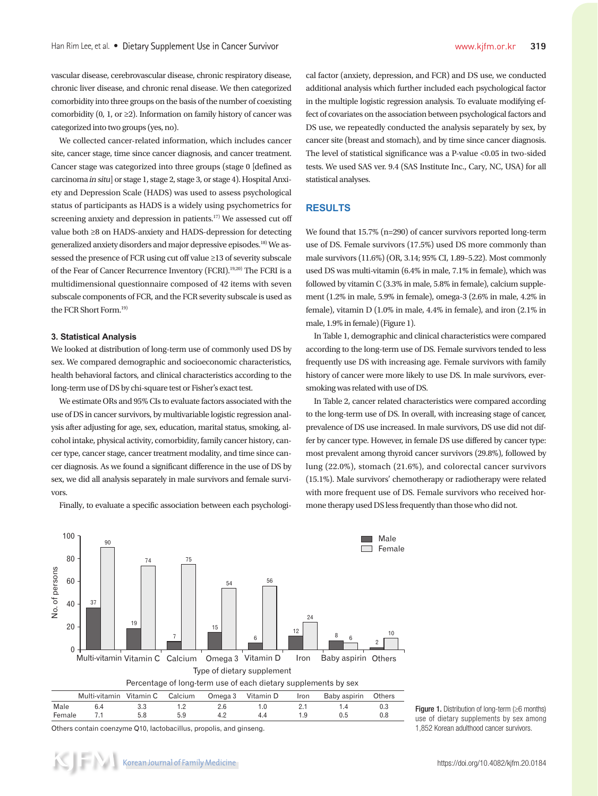vascular disease, cerebrovascular disease, chronic respiratory disease, chronic liver disease, and chronic renal disease. We then categorized comorbidity into three groups on the basis of the number of coexisting comorbidity (0, 1, or  $\geq$ 2). Information on family history of cancer was categorized into two groups (yes, no).

We collected cancer-related information, which includes cancer site, cancer stage, time since cancer diagnosis, and cancer treatment. Cancer stage was categorized into three groups (stage 0 [defined as carcinoma in situ] or stage 1, stage 2, stage 3, or stage 4). Hospital Anxiety and Depression Scale (HADS) was used to assess psychological status of participants as HADS is a widely using psychometrics for screening anxiety and depression in patients.<sup>17)</sup> We assessed cut off value both ≥8 on HADS-anxiety and HADS-depression for detecting generalized anxiety disorders and major depressive episodes.18) We assessed the presence of FCR using cut off value ≥13 of severity subscale of the Fear of Cancer Recurrence Inventory (FCRI).19,20) The FCRI is a multidimensional questionnaire composed of 42 items with seven subscale components of FCR, and the FCR severity subscale is used as the FCR Short Form.19)

#### **3. Statistical Analysis**

We looked at distribution of long-term use of commonly used DS by sex. We compared demographic and socioeconomic characteristics, health behavioral factors, and clinical characteristics according to the long-term use of DS by chi-square test or Fisher's exact test.

We estimate ORs and 95% CIs to evaluate factors associated with the use of DS in cancer survivors, by multivariable logistic regression analysis after adjusting for age, sex, education, marital status, smoking, alcohol intake, physical activity, comorbidity, family cancer history, cancer type, cancer stage, cancer treatment modality, and time since cancer diagnosis. As we found a significant difference in the use of DS by sex, we did all analysis separately in male survivors and female survivors.

Finally, to evaluate a specific association between each psychologi-

cal factor (anxiety, depression, and FCR) and DS use, we conducted additional analysis which further included each psychological factor in the multiple logistic regression analysis. To evaluate modifying effect of covariates on the association between psychological factors and DS use, we repeatedly conducted the analysis separately by sex, by cancer site (breast and stomach), and by time since cancer diagnosis. The level of statistical significance was a P-value <0.05 in two-sided tests. We used SAS ver. 9.4 (SAS Institute Inc., Cary, NC, USA) for all statistical analyses.

# **RESULTS**

We found that 15.7% (n=290) of cancer survivors reported long-term use of DS. Female survivors (17.5%) used DS more commonly than male survivors (11.6%) (OR, 3.14; 95% CI, 1.89–5.22). Most commonly used DS was multi-vitamin (6.4% in male, 7.1% in female), which was followed by vitamin C (3.3% in male, 5.8% in female), calcium supplement (1.2% in male, 5.9% in female), omega-3 (2.6% in male, 4.2% in female), vitamin D (1.0% in male, 4.4% in female), and iron (2.1% in male, 1.9% in female) (Figure 1).

In Table 1, demographic and clinical characteristics were compared according to the long-term use of DS. Female survivors tended to less frequently use DS with increasing age. Female survivors with family history of cancer were more likely to use DS. In male survivors, eversmoking was related with use of DS.

In Table 2, cancer related characteristics were compared according to the long-term use of DS. In overall, with increasing stage of cancer, prevalence of DS use increased. In male survivors, DS use did not differ by cancer type. However, in female DS use differed by cancer type: most prevalent among thyroid cancer survivors (29.8%), followed by lung (22.0%), stomach (21.6%), and colorectal cancer survivors (15.1%). Male survivors' chemotherapy or radiotherapy were related with more frequent use of DS. Female survivors who received hormone therapy used DS less frequently than those who did not.



Others contain coenzyme Q10, lactobacillus, propolis, and ginseng.

Figure 1. Distribution of long-term (≥6 months) use of dietary supplements by sex among 1,852 Korean adulthood cancer survivors.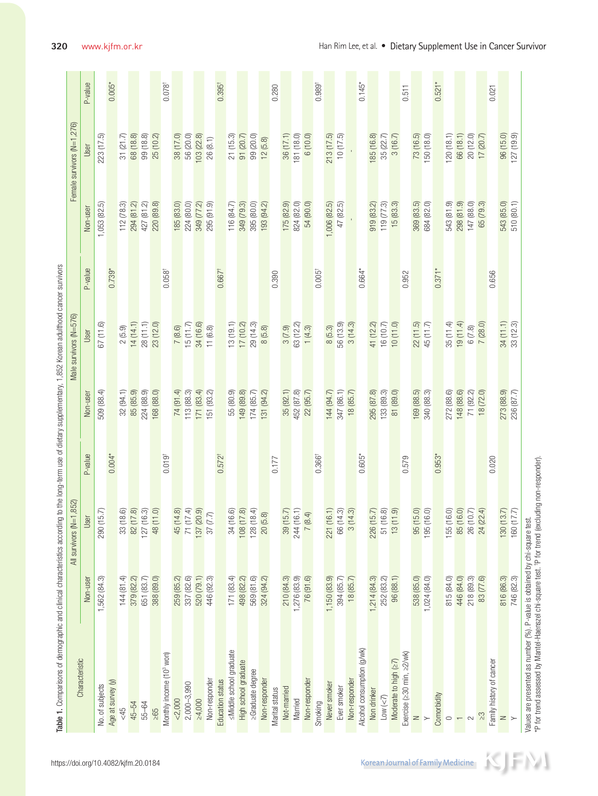| Characteristic                       |                           | All survivors (N=1,852)                                                          |                      |                            | Male survivors (N=576)      |                      |                             | Female survivors (N=1,276)          |  |
|--------------------------------------|---------------------------|----------------------------------------------------------------------------------|----------------------|----------------------------|-----------------------------|----------------------|-----------------------------|-------------------------------------|--|
|                                      | Non-user                  |                                                                                  | P-value              | Non-user                   | User                        | P-value              | Non-user                    | User                                |  |
| No. of subjects                      | 1,562 (84.3)              | User<br>$\frac{1}{290(15.7)}$                                                    |                      | 509 (88.4)                 | 67 (11.6)                   |                      | 1,053 (82.5)                | 223 (17.5)                          |  |
| Age at survey (y)                    |                           |                                                                                  | $0.004*$             |                            |                             | $0.739*$             |                             |                                     |  |
| 545                                  | 144(81.4)                 |                                                                                  |                      | 32 (94.1)<br>85 (85.9)     | $2(5.9)$<br>14 (14.1)       |                      | 112(78.3)                   | 31 (21.7)<br>68 (18.8)<br>99 (18.8) |  |
| 45-54                                | 379 (82.2)                |                                                                                  |                      |                            |                             |                      | 294(81.2)                   |                                     |  |
| 55-64                                | 651 (83.7)                |                                                                                  |                      | 224 (88.9)                 | 28 (11.1)                   |                      | 427 (81.2)                  |                                     |  |
| $\geq 65$                            | 388 (89.0)                | $\begin{array}{c} 33 (18.6) \\ 82 (17.8) \\ 127 (16.3) \\ 48 (11.0) \end{array}$ |                      | 168 (88.0)                 | 23 (12.0)                   |                      | 220 (89.8)                  | 25 (10.2)                           |  |
| Monthly income (10 <sup>3</sup> won) |                           |                                                                                  | $0.019$ <sup>t</sup> |                            |                             | $0.058$ <sup>t</sup> |                             |                                     |  |
| < 2,000                              | 259 (85.2)                | 45 (14.8)<br>71 (17.4)<br>137 (20.9)                                             |                      | 74 (91.4)<br>113 (88.3)    | 7(8.6)                      |                      | 185 (83.0)                  | 38 (17.0)<br>56 (20.0)              |  |
| 2,000-3,990                          | 337 (82.6)                |                                                                                  |                      |                            | 15(1.7)                     |                      | 224 (80.0)                  |                                     |  |
| $\geq 4,000$                         | 520 (79.1)                |                                                                                  |                      | $171$ (83.4)<br>151 (93.2) | 34 (16.6)                   |                      | 349 (77.2)<br>295 (91.9)    | 103 (22.8)                          |  |
| Non-responder                        | 446 (92.3)                | 37(7.7)                                                                          |                      |                            | 11(6.8)                     |                      |                             | 26(8.1)                             |  |
| Education status                     |                           |                                                                                  | 0.572 <sup>†</sup>   |                            |                             | $0.667$ <sup>+</sup> |                             |                                     |  |
| ≤Middle school graduate              | 171(83.4)                 |                                                                                  |                      | 55 (80.9)                  | $\frac{13(19.1)}{17(10.2)}$ |                      | 116(84.7)                   |                                     |  |
| High school graduate                 | 498 (82.2)                | 34 (16.6)<br>108 (17.8)                                                          |                      | 149 (89.8)                 |                             |                      | 349 (79.3)                  | 21 (15.3)<br>91 (20.7)<br>99 (20.0) |  |
| >Graduate degree                     | 569 (81.6)                | 128(18.4)                                                                        |                      | 174 (85.7)                 | 29 (14.3)                   |                      | 395 (80.0)                  |                                     |  |
| Non-responder                        | 324 (94.2)                | 20(5.8)                                                                          |                      | 131 (94.2)                 | 8(5.8)                      |                      | 193 (94.2)                  | 12(5.8)                             |  |
| Marital status                       |                           |                                                                                  | 0.177                |                            |                             | 0.390                |                             |                                     |  |
| Not-married                          | 210 (84.3)                | $\frac{39(15.7)}{244(16.1)}$                                                     |                      | 35 (92.1)                  | 3(7.9)                      |                      | 175 (82.9)                  | 36 (17.1)                           |  |
| Married                              | 1,276 (83.9)<br>76 (91.6) |                                                                                  |                      | 452 (87.8)<br>22 (95.7)    | 63 (12.2)                   |                      | 824 (82.0)<br>54 (90.0)     | 181 (18.0)                          |  |
| Non-responder                        |                           | 7(8.4)                                                                           |                      |                            | 1(4.3)                      |                      |                             | 6 (10.0)                            |  |
| Smoking                              |                           |                                                                                  | $0.366^+$            |                            |                             | $0.005^+$            |                             |                                     |  |
| Never smoker                         | 1,150 (83.9)              | $\frac{221(16.1)}{66(14.3)}$<br>$\frac{66(14.3)}{3(14.3)}$                       |                      | 144 (94.7)                 | $8(5.3)$                    |                      | $1,006(82.5)$<br>$47(82.5)$ | 213 (17.5)<br>10 (17.5)             |  |
| Ever smoker                          | 394 (85.7)                |                                                                                  |                      | 347(86.1)                  | 56 (13.9)                   |                      |                             |                                     |  |
| Non-responder                        | 18 (85.7)                 |                                                                                  |                      | 18 (85.7)                  | 3(14.3)                     |                      |                             |                                     |  |
| Alcohol consumption (g/wk)           |                           |                                                                                  | $0.605*$             |                            |                             | $0.664*$             |                             |                                     |  |
| Non drinker                          | 1,214(84.3)               |                                                                                  |                      | 295 (87.8)                 | 41 (12.2)                   |                      | 919 (83.2)                  | 85 (16.8)                           |  |
| $Low \left(\leq 7\right)$            | 252 (83.2)                | 226 (15.7)<br>51 (16.8)<br>13 (11.9)                                             |                      | 133 (89.3)                 | 16 (10.7)                   |                      | 119(77.3)                   | 35 (22.7)                           |  |
| Moderate to high (≥7)                | 96(88.1)                  |                                                                                  |                      | 81 (89.0)                  | 10(11.0)                    |                      | 15(83.3)                    | 3(16.7)                             |  |
| Exercise (≥30 min, ≥2/wk)            |                           |                                                                                  | 0.579                |                            |                             | 0.952                |                             |                                     |  |
| $\geq$                               | 538 (85.0)                | 95 (15.0)<br>195 (16.0)                                                          |                      | 169 (88.5)<br>340 (88.3)   | 22(11.5)                    |                      | 369 (83.5)                  | 73 (16.5)                           |  |
|                                      | 1,024 (84.0)              |                                                                                  |                      |                            | 45(11.7)                    |                      | 684 (82.0)                  | 150 (18.0)                          |  |
| Comorbidity                          |                           |                                                                                  | $0.953*$             |                            |                             | $0.371$ <sup>*</sup> |                             |                                     |  |
| $\circ$                              | 815 (84.0)                |                                                                                  |                      | 272 (88.6)                 | 35(11.4)                    |                      | 543 (81.9)                  | (20(18.1))                          |  |
| $\leftarrow$                         | 446 (84.0)                | 155 (16.0)<br>85 (16.0)                                                          |                      | 148 (88.6)                 | 19(11.4)                    |                      | 298 (81.9)                  | 66 (18.1)                           |  |
| $\sim$                               | 218 (89.3)                | 26 (10.7)<br>24 (22.4)                                                           |                      | 71 (92.2)<br>18 (72.0)     | 6(7.8)                      |                      | 147 (88.0)                  | 20 (12.0)                           |  |
| $\frac{1}{2}$                        | 83 (77.6)                 |                                                                                  |                      |                            | 7(28.0)                     |                      | 65 (79.3)                   | 17(20.7)                            |  |
| Family history of cancer             |                           |                                                                                  | 0.020                |                            |                             | 0.656                |                             |                                     |  |
| $\geq$                               | 816 (86.3)                | $\frac{130(13.7)}{160(17.7)}$                                                    |                      | 273 (88.9)                 | 34(11.1)                    |                      | 543 (85.0)<br>510 (80.1)    | 96 (15.0)                           |  |
|                                      | 746 (82.3)                |                                                                                  |                      | 236 (87.7)                 | 33 (12.3)                   |                      |                             | (27(19.9))                          |  |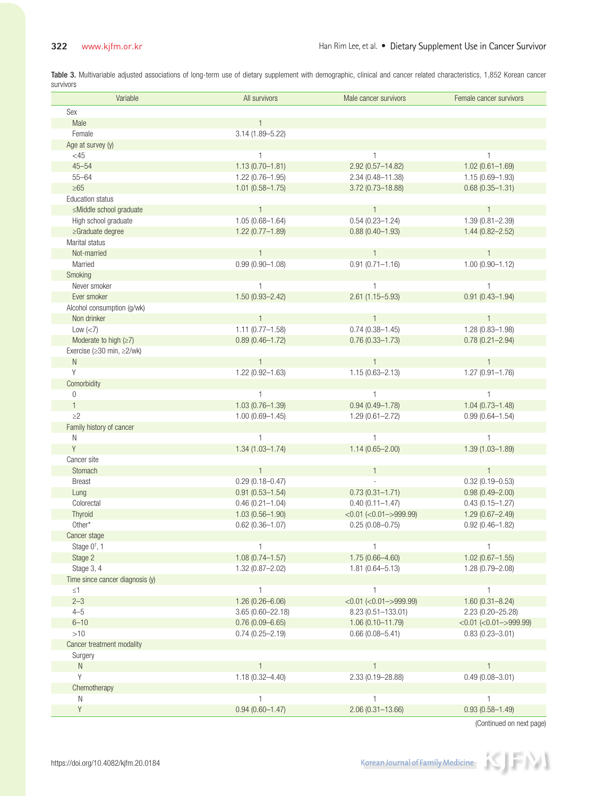Table 3. Multivariable adjusted associations of long-term use of dietary supplement with demographic, clinical and cancer related characteristics, 1,852 Korean cancer survivors

| Variable                                                              | All survivors        | Male cancer survivors                 | Female cancer survivors         |
|-----------------------------------------------------------------------|----------------------|---------------------------------------|---------------------------------|
| Sex                                                                   |                      |                                       |                                 |
| Male                                                                  |                      |                                       |                                 |
| Female                                                                | 3.14 (1.89-5.22)     |                                       |                                 |
| Age at survey (y)                                                     |                      |                                       |                                 |
| $<$ 45                                                                | $\mathbf{1}$         | $\mathbf{1}$                          | $\mathbf{1}$                    |
| $45 - 54$                                                             | $1.13(0.70 - 1.81)$  | $2.92(0.57 - 14.82)$                  | $1.02(0.61 - 1.69)$             |
| $55 - 64$                                                             | $1.22(0.76 - 1.95)$  | 2.34 (0.48-11.38)                     | $1.15(0.69 - 1.93)$             |
| $\geq 65$                                                             | $1.01(0.58 - 1.75)$  | 3.72 (0.73-18.88)                     | $0.68(0.35 - 1.31)$             |
| <b>Education status</b>                                               |                      |                                       |                                 |
| ≤Middle school graduate                                               | $\mathbf{1}$         | $\overline{1}$                        | $\overline{1}$                  |
| High school graduate                                                  | $1.05(0.68 - 1.64)$  | $0.54(0.23 - 1.24)$                   | $1.39(0.81 - 2.39)$             |
| $\geq$ Graduate degree                                                | $1.22(0.77 - 1.89)$  | $0.88(0.40 - 1.93)$                   | $1.44(0.82 - 2.52)$             |
| Marital status                                                        |                      |                                       |                                 |
| Not-married                                                           | $\mathbf{1}$         | $\overline{1}$                        | $\overline{1}$                  |
| Married                                                               | $0.99(0.90 - 1.08)$  | $0.91(0.71 - 1.16)$                   | $1.00(0.90 - 1.12)$             |
| Smoking                                                               |                      |                                       |                                 |
| Never smoker                                                          | $\mathbf{1}$         | $\mathbf{1}$                          | $\mathbf{1}$                    |
| Ever smoker                                                           | $1.50(0.93 - 2.42)$  | $2.61(1.15 - 5.93)$                   | $0.91(0.43 - 1.94)$             |
| Alcohol consumption (q/wk)                                            |                      |                                       |                                 |
| Non drinker                                                           | $\mathbf{1}$         | $\overline{1}$<br>$0.74(0.38 - 1.45)$ | $\mathbf{1}$                    |
| $Low \ (<7)$                                                          | $1.11(0.77 - 1.58)$  | $0.76(0.33 - 1.73)$                   | $1.28(0.83 - 1.98)$             |
| Moderate to high $(\geq 7)$<br>Exercise ( $\geq$ 30 min, $\geq$ 2/wk) | $0.89(0.46 - 1.72)$  |                                       | $0.78(0.21 - 2.94)$             |
| $\mathbb N$                                                           | $\mathbf{1}$         | $\overline{1}$                        | $\mathbf{1}$                    |
| Y                                                                     | $1.22(0.92 - 1.63)$  | $1.15(0.63 - 2.13)$                   | $1.27(0.91 - 1.76)$             |
| Comorbidity                                                           |                      |                                       |                                 |
| $\mathbf{0}$                                                          | $\mathbf{1}$         | $\mathbf{1}$                          | $\mathbf{1}$                    |
| $\mathbf{1}$                                                          | $1.03(0.76 - 1.39)$  | $0.94(0.49 - 1.78)$                   | $1.04(0.73 - 1.48)$             |
| $\geq$ 2                                                              | $1.00(0.69 - 1.45)$  | $1.29(0.61 - 2.72)$                   | $0.99(0.64 - 1.54)$             |
| Family history of cancer                                              |                      |                                       |                                 |
| N                                                                     | $\mathbf{1}$         | 1                                     | $\mathbf{1}$                    |
| $\mathsf Y$                                                           | $1.34(1.03 - 1.74)$  | $1.14(0.65 - 2.00)$                   | $1.39(1.03 - 1.89)$             |
| Cancer site                                                           |                      |                                       |                                 |
| Stomach                                                               | $\mathbf{1}$         | 1                                     | $\mathbf{1}$                    |
| Breast                                                                | $0.29(0.18 - 0.47)$  |                                       | $0.32(0.19 - 0.53)$             |
| Lung                                                                  | $0.91(0.53 - 1.54)$  | $0.73(0.31 - 1.71)$                   | $0.98(0.49 - 2.00)$             |
| Colorectal                                                            | $0.46(0.21 - 1.04)$  | $0.40(0.11 - 1.47)$                   | $0.43(0.15 - 1.27)$             |
| Thyroid                                                               | $1.03(0.56 - 1.90)$  | $<$ 0.01 ( $<$ 0.01 - > 999.99)       | $1.29(0.67 - 2.49)$             |
| Other*                                                                | $0.62(0.36 - 1.07)$  | $0.25(0.08 - 0.75)$                   | $0.92(0.46 - 1.82)$             |
| Cancer stage                                                          |                      |                                       |                                 |
| Stage $0^{\dagger}$ , 1                                               | $\mathbf{1}$         | $\mathbf{1}$                          | $\mathbf{1}$                    |
| Stage 2                                                               | $1.08(0.74 - 1.57)$  | 1.75 (0.66-4.60)                      | $1.02(0.67 - 1.55)$             |
| Stage 3, 4                                                            | $1.32(0.87 - 2.02)$  | $1.81(0.64 - 5.13)$                   | $1.28(0.79 - 2.08)$             |
| Time since cancer diagnosis (y)                                       |                      |                                       |                                 |
| $\leq 1$                                                              | $\mathbf{1}$         | $\mathbf{1}$                          | $\mathbf{1}$                    |
| $2 - 3$                                                               | $1.26(0.26 - 6.06)$  | $<$ 0.01 ( $<$ 0.01 - > 999.99)       | $1.60(0.31 - 8.24)$             |
| $4 - 5$                                                               | $3.65(0.60 - 22.18)$ | 8.23 (0.51-133.01)                    | 2.23 (0.20-25.28)               |
| $6 - 10$                                                              | $0.76(0.09 - 6.65)$  | $1.06(0.10 - 11.79)$                  | $<$ 0.01 ( $<$ 0.01 - > 999.99) |
| >10                                                                   | $0.74(0.25 - 2.19)$  | $0.66(0.08 - 5.41)$                   | $0.83(0.23 - 3.01)$             |
| Cancer treatment modality                                             |                      |                                       |                                 |
| Surgery                                                               |                      |                                       |                                 |
| $\mathsf{N}$                                                          | $\mathbf{1}$         |                                       |                                 |
| Υ                                                                     | $1.18(0.32 - 4.40)$  | 2.33 (0.19-28.88)                     | $0.49(0.08 - 3.01)$             |
| Chemotherapy                                                          | $\mathbf{1}$         | $\mathbf{1}$                          |                                 |
| N<br>Υ                                                                | $0.94(0.60 - 1.47)$  | $2.06(0.31 - 13.66)$                  | 1<br>$0.93(0.58 - 1.49)$        |
|                                                                       |                      |                                       |                                 |

(Continued on next page)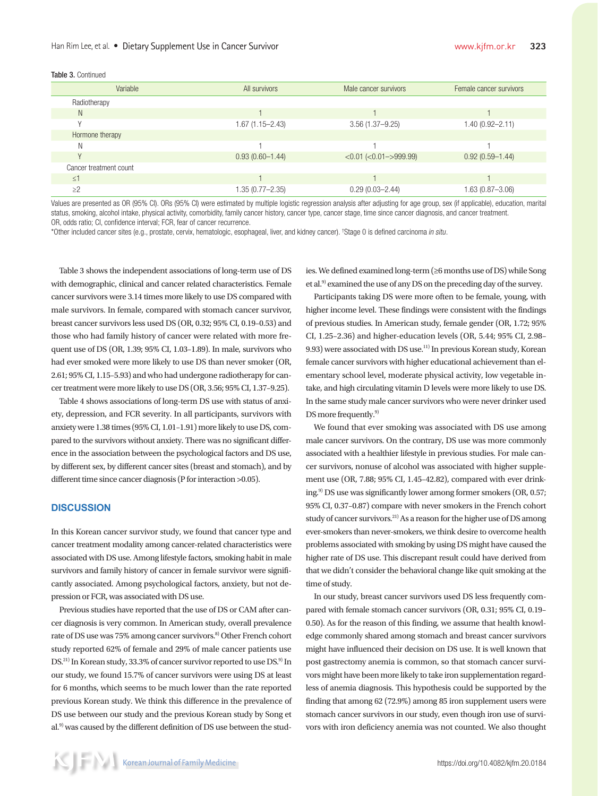#### Han Rim Lee, et al. • Dietary Supplement Use in Cancer Survivor

#### Table 3. Continued

| Variable               | All survivors       | Male cancer survivors     | Female cancer survivors |
|------------------------|---------------------|---------------------------|-------------------------|
| Radiotherapy           |                     |                           |                         |
| N                      |                     |                           |                         |
|                        | $1.67(1.15 - 2.43)$ | $3.56(1.37 - 9.25)$       | 1.40 (0.92-2.11)        |
| Hormone therapy        |                     |                           |                         |
| N                      |                     |                           |                         |
|                        | $0.93(0.60 - 1.44)$ | $< 0.01 (-0.01 - 999.99)$ | $0.92(0.59 - 1.44)$     |
| Cancer treatment count |                     |                           |                         |
| $\leq$ 1               |                     |                           |                         |
| $\geq$ 2               | 1.35 (0.77-2.35)    | $0.29(0.03 - 2.44)$       | 1.63 (0.87-3.06)        |

Values are presented as OR (95% CI). ORs (95% CI) were estimated by multiple logistic regression analysis after adjusting for age group, sex (if applicable), education, marital status, smoking, alcohol intake, physical activity, comorbidity, family cancer history, cancer type, cancer stage, time since cancer diagnosis, and cancer treatment. OR, odds ratio; CI, confidence interval; FCR, fear of cancer recurrence.

\*Other included cancer sites (e.g., prostate, cervix, hematologic, esophageal, liver, and kidney cancer). † Stage 0 is defined carcinoma in situ.

Table 3 shows the independent associations of long-term use of DS with demographic, clinical and cancer related characteristics. Female cancer survivors were 3.14 times more likely to use DS compared with male survivors. In female, compared with stomach cancer survivor, breast cancer survivors less used DS (OR, 0.32; 95% CI, 0.19–0.53) and those who had family history of cancer were related with more frequent use of DS (OR, 1.39; 95% CI, 1.03–1.89). In male, survivors who had ever smoked were more likely to use DS than never smoker (OR, 2.61; 95% CI, 1.15–5.93) and who had undergone radiotherapy for cancer treatment were more likely to use DS (OR, 3.56; 95% CI, 1.37–9.25).

Table 4 shows associations of long-term DS use with status of anxiety, depression, and FCR severity. In all participants, survivors with anxiety were 1.38 times (95% CI, 1.01–1.91) more likely to use DS, compared to the survivors without anxiety. There was no significant difference in the association between the psychological factors and DS use, by different sex, by different cancer sites (breast and stomach), and by different time since cancer diagnosis (P for interaction >0.05).

### **DISCUSSION**

In this Korean cancer survivor study, we found that cancer type and cancer treatment modality among cancer-related characteristics were associated with DS use. Among lifestyle factors, smoking habit in male survivors and family history of cancer in female survivor were significantly associated. Among psychological factors, anxiety, but not depression or FCR, was associated with DS use.

Previous studies have reported that the use of DS or CAM after cancer diagnosis is very common. In American study, overall prevalence rate of DS use was 75% among cancer survivors.<sup>8)</sup> Other French cohort study reported 62% of female and 29% of male cancer patients use DS.<sup>21)</sup> In Korean study, 33.3% of cancer survivor reported to use DS.<sup>9)</sup> In our study, we found 15.7% of cancer survivors were using DS at least for 6 months, which seems to be much lower than the rate reported previous Korean study. We think this difference in the prevalence of DS use between our study and the previous Korean study by Song et al.<sup>9)</sup> was caused by the different definition of DS use between the studies. We defined examined long-term (≥6 months use of DS) while Song et al.9) examined the use of any DS on the preceding day of the survey.

Participants taking DS were more often to be female, young, with higher income level. These findings were consistent with the findings of previous studies. In American study, female gender (OR, 1.72; 95% CI, 1.25–2.36) and higher-education levels (OR, 5.44; 95% CI, 2.98– 9.93) were associated with DS use.<sup>11)</sup> In previous Korean study, Korean female cancer survivors with higher educational achievement than elementary school level, moderate physical activity, low vegetable intake, and high circulating vitamin D levels were more likely to use DS. In the same study male cancer survivors who were never drinker used DS more frequently.<sup>9)</sup>

We found that ever smoking was associated with DS use among male cancer survivors. On the contrary, DS use was more commonly associated with a healthier lifestyle in previous studies. For male cancer survivors, nonuse of alcohol was associated with higher supplement use (OR, 7.88; 95% CI, 1.45–42.82), compared with ever drinking.<sup>9)</sup> DS use was significantly lower among former smokers (OR, 0.57; 95% CI, 0.37–0.87) compare with never smokers in the French cohort study of cancer survivors.<sup>21)</sup> As a reason for the higher use of DS among ever-smokers than never-smokers, we think desire to overcome health problems associated with smoking by using DS might have caused the higher rate of DS use. This discrepant result could have derived from that we didn't consider the behavioral change like quit smoking at the time of study.

In our study, breast cancer survivors used DS less frequently compared with female stomach cancer survivors (OR, 0.31; 95% CI, 0.19– 0.50). As for the reason of this finding, we assume that health knowledge commonly shared among stomach and breast cancer survivors might have influenced their decision on DS use. It is well known that post gastrectomy anemia is common, so that stomach cancer survivors might have been more likely to take iron supplementation regardless of anemia diagnosis. This hypothesis could be supported by the finding that among 62 (72.9%) among 85 iron supplement users were stomach cancer survivors in our study, even though iron use of survivors with iron deficiency anemia was not counted. We also thought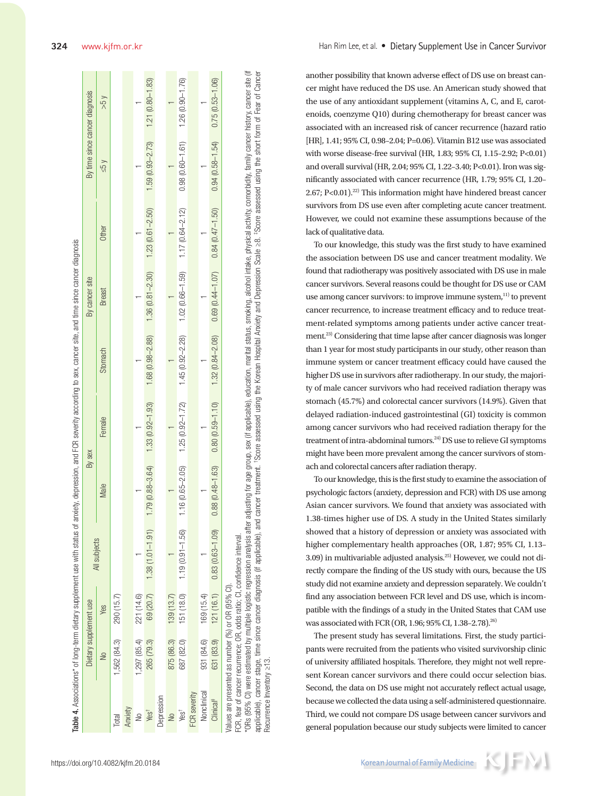|                        |               |                                                    |                                                                          |                     | Table 4. Associations* of long-term dietary supplement use with status of anxiety, depression, and FCR severity according to sex, cancer site, and time since cancer diagnosis                                                 |                     |                                         |                     |                                |                     |
|------------------------|---------------|----------------------------------------------------|--------------------------------------------------------------------------|---------------------|--------------------------------------------------------------------------------------------------------------------------------------------------------------------------------------------------------------------------------|---------------------|-----------------------------------------|---------------------|--------------------------------|---------------------|
|                        |               | Dietary supplement use                             |                                                                          | By sex              |                                                                                                                                                                                                                                |                     | By cancer site                          |                     | By time since cancer diagnosis |                     |
|                        | $\frac{1}{2}$ | Yes                                                | All subjects                                                             | Male                | Female                                                                                                                                                                                                                         | Stomach             | <b>Breast</b>                           | Other               | $\times$ 5>                    | $V_{S}$             |
| Total                  | 1,562 (84.3)  | 290 (15.7)                                         |                                                                          |                     |                                                                                                                                                                                                                                |                     |                                         |                     |                                |                     |
| Anxiety                |               |                                                    |                                                                          |                     |                                                                                                                                                                                                                                |                     |                                         |                     |                                |                     |
| ş                      | 1,297 (85.4)  | 221 (14.6)                                         |                                                                          |                     |                                                                                                                                                                                                                                |                     |                                         |                     |                                |                     |
| Yest                   | 265 (79.3)    |                                                    | 69 (20.7) 1.38 (1.01-1.91)                                               | $1.79(0.88 - 3.64)$ | $1.33(0.92 - 1.93)$                                                                                                                                                                                                            |                     | $1.68(0.98 - 2.88)$ $1.36(0.81 - 2.30)$ | $1.23(0.61 - 2.50)$ | $1.59(0.93 - 2.73)$            | $1.21(0.80 - 1.83)$ |
| Depression             |               |                                                    |                                                                          |                     |                                                                                                                                                                                                                                |                     |                                         |                     |                                |                     |
| $\frac{1}{2}$          | 875 (86.3)    | 139 (13.7)                                         |                                                                          |                     |                                                                                                                                                                                                                                |                     |                                         |                     |                                |                     |
| Yes <sup>t</sup>       | 687 (82.0)    | 151 (18.0)                                         | $1.19(0.91 - 1.56)$                                                      | $1.16(0.65 - 2.05)$ | $1.25(0.92 - 1.72)$                                                                                                                                                                                                            | $1.45(0.92 - 2.28)$ | $1.02(0.66 - 1.59)$                     | $1.17(0.64 - 2.12)$ | $0.98(0.60 - 1.61)$            | $1.26(0.90 - 1.76)$ |
| FCR severity           |               |                                                    |                                                                          |                     |                                                                                                                                                                                                                                |                     |                                         |                     |                                |                     |
| Nonclinical            | 931 (84.6)    | 169 (15.4)                                         |                                                                          |                     |                                                                                                                                                                                                                                |                     |                                         |                     |                                |                     |
| $\frac{2}{\ln  \cos }$ | 631 (83.9)    | 121(16.1)                                          | $0.83(0.63 - 1.09)$                                                      | $0.88(0.48 - 1.63)$ | $0.80(0.59 - 1.10)$                                                                                                                                                                                                            | $1.32(0.84 - 2.08)$ | $0.69$ $(0.44 - 1.07)$                  | $0.84(0.47 - 1.50)$ | $0.94(0.58 - 1.54)$            | $0.75(0.53 - 1.06)$ |
|                        |               | /alues are presented as number (%) or OR (95% CI). | FCR, fear of cancer recurrence; OR, odds ratio; CI, confidence interval. |                     | *ORs (95% CI) were estimated by multiple logistic regression analysis after adjusting for age group, sex (if applicable), education, marital status, smoking, alcohol intake, physical activity, comorbidity, family cancer hi |                     |                                         |                     |                                |                     |

applicable), cancer stage, time since cancer diagnosis (if applicable), and cancer treatment. "Score assessed using the Korean Hospital Anxiety and Depression Scale ≥8. #Score assessed using the short form of Fear of Cance applicable), cancer stage, time since cancer diagnosis (if applicable), and cancer treatment. 'Score assessed using the Korean Hospital Anxiety and Depression Scale >8. 'Score assessed using the short form of Fear of Cance Recurrence Inventory ≥13. Recurrence Inventory ≥13. another possibility that known adverse effect of DS use on breast cancer might have reduced the DS use. An American study showed that the use of any antioxidant supplement (vitamins A, C, and E, carotenoids, coenzyme Q10) during chemotherapy for breast cancer was associated with an increased risk of cancer recurrence (hazard ratio [HR], 1.41; 95% CI, 0.98–2.04; P=0.06). Vitamin B12 use was associated with worse disease-free survival (HR, 1.83; 95% CI, 1.15–2.92; P<0.01) and overall survival (HR, 2.04; 95% CI, 1.22–3.40; P<0.01). Iron was significantly associated with cancer recurrence (HR, 1.79; 95% CI, 1.20– 2.67; P<0.01).<sup>22)</sup> This information might have hindered breast cancer survivors from DS use even after completing acute cancer treatment. However, we could not examine these assumptions because of the lack of qualitative data.

To our knowledge, this study was the first study to have examined the association between DS use and cancer treatment modality. We found that radiotherapy was positively associated with DS use in male cancer survivors. Several reasons could be thought for DS use or CAM use among cancer survivors: to improve immune system,<sup>11)</sup> to prevent cancer recurrence, to increase treatment efficacy and to reduce treatment-related symptoms among patients under active cancer treatment.23) Considering that time lapse after cancer diagnosis was longer than 1 year for most study participants in our study, other reason than immune system or cancer treatment efficacy could have caused the higher DS use in survivors after radiotherapy. In our study, the majority of male cancer survivors who had received radiation therapy was stomach (45.7%) and colorectal cancer survivors (14.9%). Given that delayed radiation-induced gastrointestinal (GI) toxicity is common among cancer survivors who had received radiation therapy for the treatment of intra-abdominal tumors.<sup>24)</sup> DS use to relieve GI symptoms might have been more prevalent among the cancer survivors of stomach and colorectal cancers after radiation therapy.

To our knowledge, this is the first study to examine the association of psychologic factors (anxiety, depression and FCR) with DS use among Asian cancer survivors. We found that anxiety was associated with 1.38-times higher use of DS. A study in the United States similarly showed that a history of depression or anxiety was associated with higher complementary health approaches (OR, 1.87; 95% CI, 1.13– 3.09) in multivariable adjusted analysis.25) However, we could not directly compare the finding of the US study with ours, because the US study did not examine anxiety and depression separately. We couldn't find any association between FCR level and DS use, which is incompatible with the findings of a study in the United States that CAM use was associated with FCR (OR, 1.96; 95% CI, 1.38-2.78).<sup>26)</sup>

The present study has several limitations. First, the study participants were recruited from the patients who visited survivorship clinic of university affiliated hospitals. Therefore, they might not well represent Korean cancer survivors and there could occur selection bias. Second, the data on DS use might not accurately reflect actual usage, because we collected the data using a self-administered questionnaire. Third, we could not compare DS usage between cancer survivors and general population because our study subjects were limited to cancer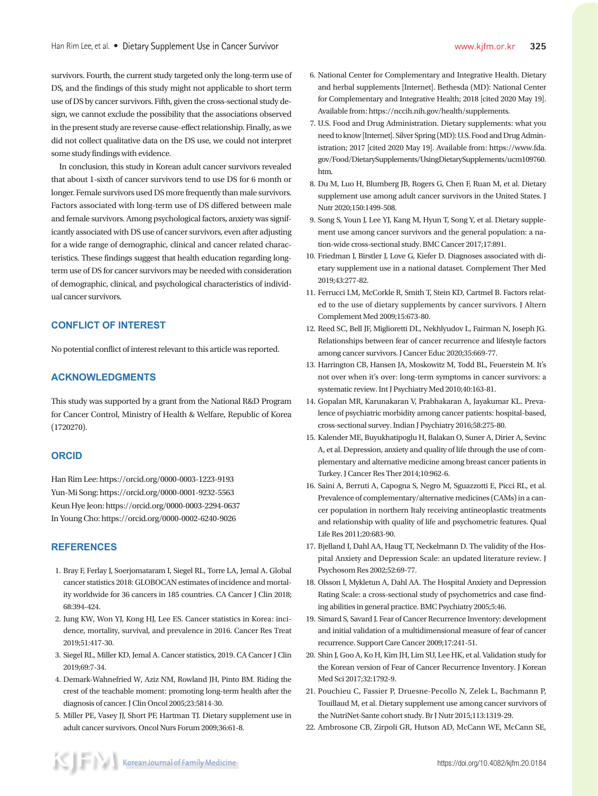survivors. Fourth, the current study targeted only the long-term use of DS, and the findings of this study might not applicable to short term use of DS by cancer survivors. Fifth, given the cross-sectional study design, we cannot exclude the possibility that the associations observed in the present study are reverse cause-effect relationship. Finally, as we did not collect qualitative data on the DS use, we could not interpret some study findings with evidence.

In conclusion, this study in Korean adult cancer survivors revealed that about 1-sixth of cancer survivors tend to use DS for 6 month or longer. Female survivors used DS more frequently than male survivors. Factors associated with long-term use of DS differed between male and female survivors. Among psychological factors, anxiety was significantly associated with DS use of cancer survivors, even after adjusting for a wide range of demographic, clinical and cancer related characteristics. These findings suggest that health education regarding longterm use of DS for cancer survivors may be needed with consideration of demographic, clinical, and psychological characteristics of individual cancer survivors.

# **CONFLICT OF INTEREST**

No potential conflict of interest relevant to this article was reported.

### **ACKNOWLEDGMENTS**

This study was supported by a grant from the National R&D Program for Cancer Control, Ministry of Health & Welfare, Republic of Korea (1720270).

#### **ORCID**

Han Rim Lee: https://orcid.org/0000-0003-1223-9193 Yun-Mi Song: https://orcid.org/0000-0001-9232-5563 Keun Hye Jeon: https://orcid.org/0000-0003-2294-0637 In Young Cho: https://orcid.org/0000-0002-6240-9026

## **REFERENCES**

- 1. Bray F, Ferlay J, Soerjomataram I, Siegel RL, Torre LA, Jemal A. Global cancer statistics 2018: GLOBOCAN estimates of incidence and mortality worldwide for 36 cancers in 185 countries. CA Cancer J Clin 2018; 68:394-424.
- 2. Jung KW, Won YJ, Kong HJ, Lee ES. Cancer statistics in Korea: incidence, mortality, survival, and prevalence in 2016. Cancer Res Treat 2019;51:417-30.
- 3. Siegel RL, Miller KD, Jemal A. Cancer statistics, 2019. CA Cancer J Clin 2019;69:7-34.
- 4. Demark-Wahnefried W, Aziz NM, Rowland JH, Pinto BM. Riding the crest of the teachable moment: promoting long-term health after the diagnosis of cancer. J Clin Oncol 2005;23:5814-30.
- 5. Miller PE, Vasey JJ, Short PF, Hartman TJ. Dietary supplement use in adult cancer survivors. Oncol Nurs Forum 2009;36:61-8.
- 6. National Center for Complementary and Integrative Health. Dietary and herbal supplements [Internet]. Bethesda (MD): National Center for Complementary and Integrative Health; 2018 [cited 2020 May 19]. Available from: https://nccih.nih.gov/health/supplements.
- 7. U.S. Food and Drug Administration. Dietary supplements: what you need to know [Internet]. Silver Spring (MD): U.S. Food and Drug Administration; 2017 [cited 2020 May 19]. Available from: https://www.fda. gov/Food/DietarySupplements/UsingDietarySupplements/ucm109760. htm.
- 8. Du M, Luo H, Blumberg JB, Rogers G, Chen F, Ruan M, et al. Dietary supplement use among adult cancer survivors in the United States. J Nutr 2020;150:1499-508.
- 9. Song S, Youn J, Lee YJ, Kang M, Hyun T, Song Y, et al. Dietary supplement use among cancer survivors and the general population: a nation-wide cross-sectional study. BMC Cancer 2017;17:891.
- 10. Friedman J, Birstler J, Love G, Kiefer D. Diagnoses associated with dietary supplement use in a national dataset. Complement Ther Med 2019;43:277-82.
- 11. Ferrucci LM, McCorkle R, Smith T, Stein KD, Cartmel B. Factors related to the use of dietary supplements by cancer survivors. J Altern Complement Med 2009;15:673-80.
- 12. Reed SC, Bell JF, Miglioretti DL, Nekhlyudov L, Fairman N, Joseph JG. Relationships between fear of cancer recurrence and lifestyle factors among cancer survivors. J Cancer Educ 2020;35:669-77.
- 13. Harrington CB, Hansen JA, Moskowitz M, Todd BL, Feuerstein M. It's not over when it's over: long-term symptoms in cancer survivors: a systematic review. Int J Psychiatry Med 2010;40:163-81.
- 14. Gopalan MR, Karunakaran V, Prabhakaran A, Jayakumar KL. Prevalence of psychiatric morbidity among cancer patients: hospital-based, cross-sectional survey. Indian J Psychiatry 2016;58:275-80.
- 15. Kalender ME, Buyukhatipoglu H, Balakan O, Suner A, Dirier A, Sevinc A, et al. Depression, anxiety and quality of life through the use of complementary and alternative medicine among breast cancer patients in Turkey. J Cancer Res Ther 2014;10:962-6.
- 16. Saini A, Berruti A, Capogna S, Negro M, Sguazzotti E, Picci RL, et al. Prevalence of complementary/alternative medicines (CAMs) in a cancer population in northern Italy receiving antineoplastic treatments and relationship with quality of life and psychometric features. Qual Life Res 2011;20:683-90.
- 17. Bjelland I, Dahl AA, Haug TT, Neckelmann D. The validity of the Hospital Anxiety and Depression Scale: an updated literature review. J Psychosom Res 2002;52:69-77.
- 18. Olsson I, Mykletun A, Dahl AA. The Hospital Anxiety and Depression Rating Scale: a cross-sectional study of psychometrics and case finding abilities in general practice. BMC Psychiatry 2005;5:46.
- 19. Simard S, Savard J. Fear of Cancer Recurrence Inventory: development and initial validation of a multidimensional measure of fear of cancer recurrence. Support Care Cancer 2009;17:241-51.
- 20. Shin J, Goo A, Ko H, Kim JH, Lim SU, Lee HK, et al. Validation study for the Korean version of Fear of Cancer Recurrence Inventory. J Korean Med Sci 2017;32:1792-9.
- 21. Pouchieu C, Fassier P, Druesne-Pecollo N, Zelek L, Bachmann P, Touillaud M, et al. Dietary supplement use among cancer survivors of the NutriNet-Sante cohort study. Br J Nutr 2015;113:1319-29.
- 22. Ambrosone CB, Zirpoli GR, Hutson AD, McCann WE, McCann SE,